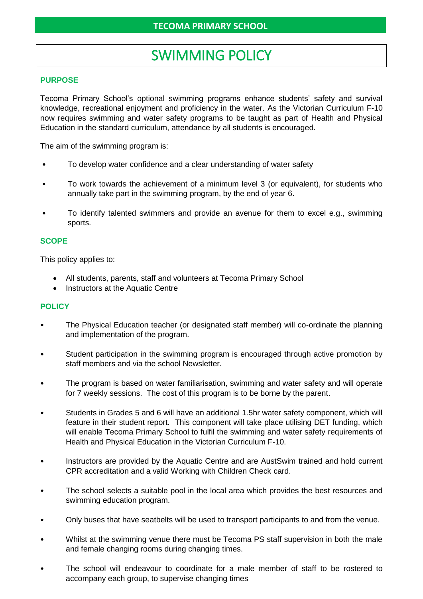# SWIMMING POLICY

## **PURPOSE**

Tecoma Primary School's optional swimming programs enhance students' safety and survival knowledge, recreational enjoyment and proficiency in the water. As the Victorian Curriculum F-10 now requires swimming and water safety programs to be taught as part of Health and Physical Education in the standard curriculum, attendance by all students is encouraged.

The aim of the swimming program is:

- To develop water confidence and a clear understanding of water safety
- To work towards the achievement of a minimum level 3 (or equivalent), for students who annually take part in the swimming program, by the end of year 6.
- To identify talented swimmers and provide an avenue for them to excel e.g., swimming sports.

## **SCOPE**

This policy applies to:

- All students, parents, staff and volunteers at Tecoma Primary School
- Instructors at the Aquatic Centre

#### **POLICY**

- The Physical Education teacher (or designated staff member) will co-ordinate the planning and implementation of the program.
- Student participation in the swimming program is encouraged through active promotion by staff members and via the school Newsletter.
- The program is based on water familiarisation, swimming and water safety and will operate for 7 weekly sessions. The cost of this program is to be borne by the parent.
- Students in Grades 5 and 6 will have an additional 1.5hr water safety component, which will feature in their student report. This component will take place utilising DET funding, which will enable Tecoma Primary School to fulfil the swimming and water safety requirements of Health and Physical Education in the Victorian Curriculum F-10.
- Instructors are provided by the Aquatic Centre and are AustSwim trained and hold current CPR accreditation and a valid Working with Children Check card.
- The school selects a suitable pool in the local area which provides the best resources and swimming education program.
- Only buses that have seatbelts will be used to transport participants to and from the venue.
- Whilst at the swimming venue there must be Tecoma PS staff supervision in both the male and female changing rooms during changing times.
- The school will endeavour to coordinate for a male member of staff to be rostered to accompany each group, to supervise changing times